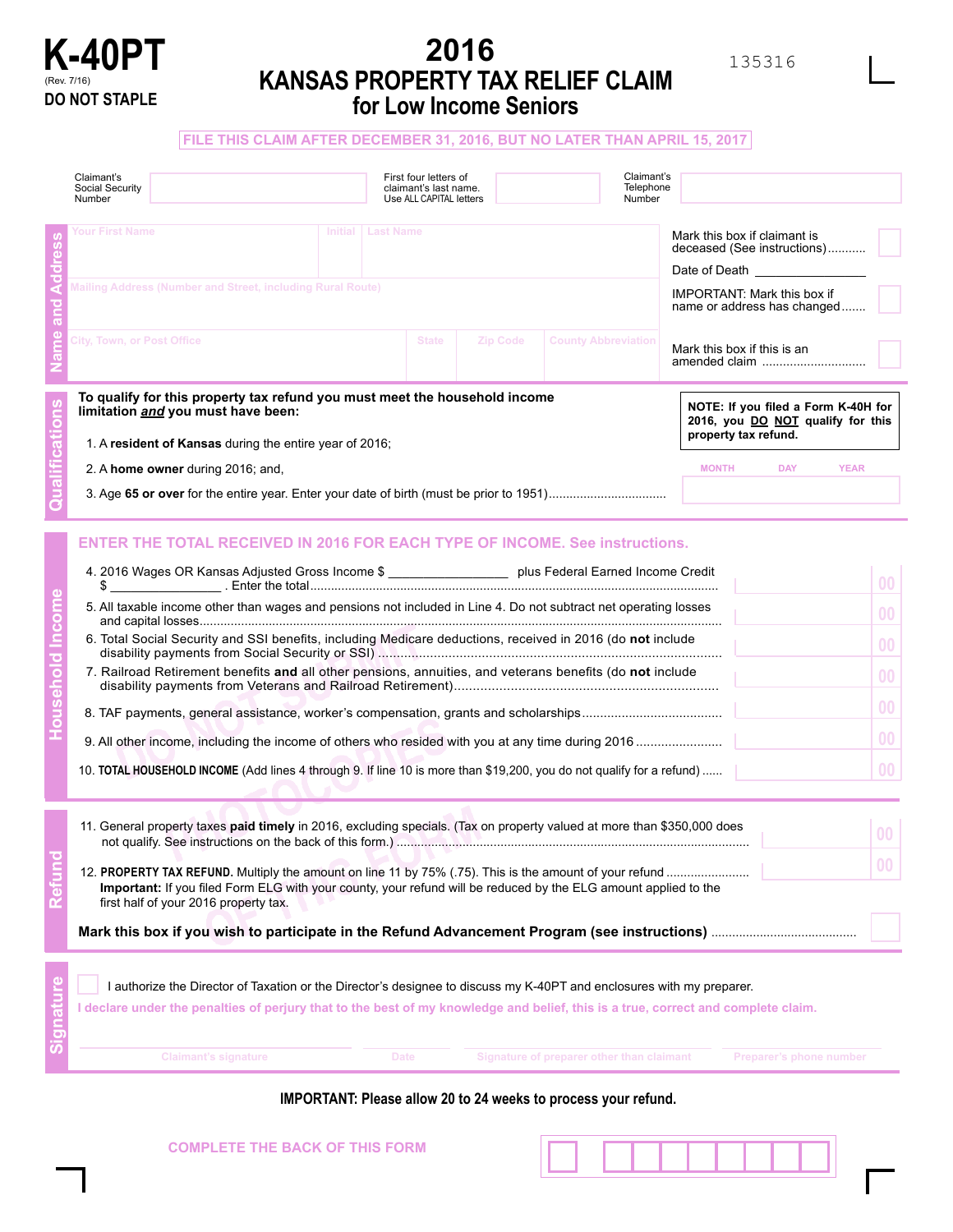

# **K-40PT EXAMPLE 2016 EXAMPLE AND RELIGE CLAIM 135316 KANSAS PROPERTY TAX RELIEF CLAIM DO NOT STAPLE for Low Income Seniors**

## **FILE THIS CLAIM AFTER DECEMBER 31, 2016, BUT NO LATER THAN APRIL 15, 2017**

|  | Claimant's<br>Social Security<br>Number                                                                                                                                                                                                                                                                                                                                                                                                                                                                                                                                                                                                                                                                                                                                          |             | First four letters of<br>claimant's last name.<br>Use ALL CAPITAL letters |          |                                           | Claimant's<br>Telephone<br>Number |                                                                                                  |                         |                |
|--|----------------------------------------------------------------------------------------------------------------------------------------------------------------------------------------------------------------------------------------------------------------------------------------------------------------------------------------------------------------------------------------------------------------------------------------------------------------------------------------------------------------------------------------------------------------------------------------------------------------------------------------------------------------------------------------------------------------------------------------------------------------------------------|-------------|---------------------------------------------------------------------------|----------|-------------------------------------------|-----------------------------------|--------------------------------------------------------------------------------------------------|-------------------------|----------------|
|  | <b>Your First Name</b><br>Initial   Last Name                                                                                                                                                                                                                                                                                                                                                                                                                                                                                                                                                                                                                                                                                                                                    |             |                                                                           |          |                                           |                                   | Mark this box if claimant is<br>deceased (See instructions)<br>Date of Death <u>supering</u>     |                         |                |
|  | Mailing Address (Number and Street, including Rural Route)                                                                                                                                                                                                                                                                                                                                                                                                                                                                                                                                                                                                                                                                                                                       |             |                                                                           |          |                                           |                                   | <b>IMPORTANT: Mark this box if</b><br>name or address has changed                                |                         |                |
|  | City, Town, or Post Office                                                                                                                                                                                                                                                                                                                                                                                                                                                                                                                                                                                                                                                                                                                                                       |             | <b>State</b>                                                              | Zip Code | <b>County Abbreviation</b>                |                                   | Mark this box if this is an<br>amended claim                                                     |                         |                |
|  | To qualify for this property tax refund you must meet the household income<br>limitation and you must have been:<br>1. A resident of Kansas during the entire year of 2016;                                                                                                                                                                                                                                                                                                                                                                                                                                                                                                                                                                                                      |             |                                                                           |          |                                           |                                   | NOTE: If you filed a Form K-40H for<br>2016, you DO NOT qualify for this<br>property tax refund. |                         |                |
|  |                                                                                                                                                                                                                                                                                                                                                                                                                                                                                                                                                                                                                                                                                                                                                                                  |             |                                                                           |          |                                           |                                   |                                                                                                  |                         | <b>YEAR</b>    |
|  | <b>MONTH DAY</b><br>2. A home owner during 2016; and,                                                                                                                                                                                                                                                                                                                                                                                                                                                                                                                                                                                                                                                                                                                            |             |                                                                           |          |                                           |                                   |                                                                                                  |                         |                |
|  | <b>ENTER THE TOTAL RECEIVED IN 2016 FOR EACH TYPE OF INCOME. See instructions.</b><br>4. 2016 Wages OR Kansas Adjusted Gross Income \$ ____________________ plus Federal Earned Income Credit<br>0 <sub>0</sub><br>\$<br>5. All taxable income other than wages and pensions not included in Line 4. Do not subtract net operating losses<br>00<br>6. Total Social Security and SSI benefits, including Medicare deductions, received in 2016 (do not include<br>0 <sub>0</sub><br>7. Railroad Retirement benefits and all other pensions, annuities, and veterans benefits (do not include<br>0 <sub>0</sub><br>00<br>0 <sub>0</sub><br>0 <sub>0</sub><br>10. TOTAL HOUSEHOLD INCOME (Add lines 4 through 9. If line 10 is more than \$19,200, you do not qualify for a refund) |             |                                                                           |          |                                           |                                   |                                                                                                  |                         |                |
|  | 11. General property taxes paid timely in 2016, excluding specials. (Tax on property valued at more than \$350,000 does                                                                                                                                                                                                                                                                                                                                                                                                                                                                                                                                                                                                                                                          |             |                                                                           |          |                                           |                                   |                                                                                                  |                         | 0 <sup>0</sup> |
|  | Important: If you filed Form ELG with your county, your refund will be reduced by the ELG amount applied to the<br>first half of your 2016 property tax.                                                                                                                                                                                                                                                                                                                                                                                                                                                                                                                                                                                                                         |             |                                                                           |          |                                           |                                   |                                                                                                  | <b>UU</b>               |                |
|  |                                                                                                                                                                                                                                                                                                                                                                                                                                                                                                                                                                                                                                                                                                                                                                                  |             |                                                                           |          |                                           |                                   |                                                                                                  |                         |                |
|  | I authorize the Director of Taxation or the Director's designee to discuss my K-40PT and enclosures with my preparer.<br>I declare under the penalties of perjury that to the best of my knowledge and belief, this is a true, correct and complete claim.                                                                                                                                                                                                                                                                                                                                                                                                                                                                                                                       |             |                                                                           |          |                                           |                                   |                                                                                                  |                         |                |
|  | <b>Claimant's signature</b>                                                                                                                                                                                                                                                                                                                                                                                                                                                                                                                                                                                                                                                                                                                                                      | <b>Date</b> |                                                                           |          | Signature of preparer other than claimant |                                   |                                                                                                  | Preparer's phone number |                |

**IMPORTANT: Please allow 20 to 24 weeks to process your refund.**